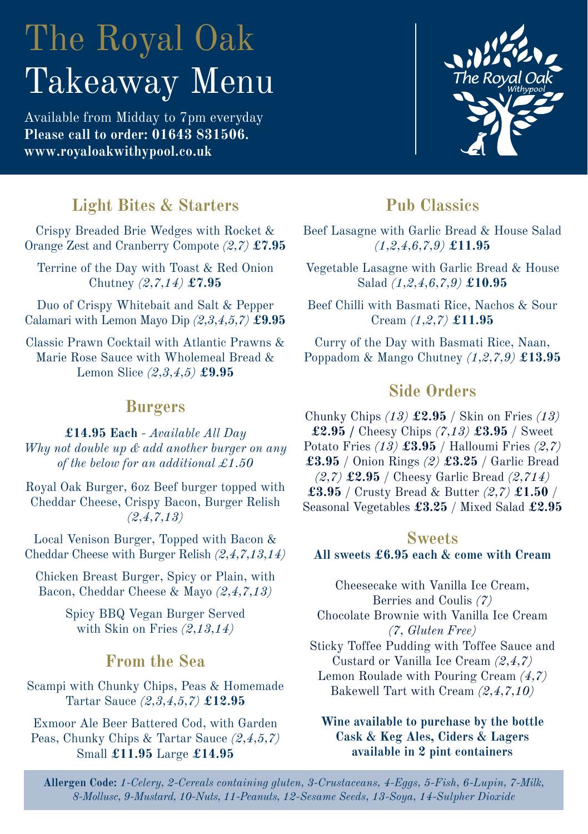# The Royal Oak Takeaway Menu

Available from Midday to 7pm everyday **Please call to order: 01643 831506. www.royaloakwithypool.co.uk**



# **Light Bites & Starters**

Crispy Breaded Brie Wedges with Rocket & Orange Zest and Cranberry Compote *(2,7)* **£7.95**

Terrine of the Day with Toast & Red Onion Chutney *(2,7,14)* **£7.95**

Duo of Crispy Whitebait and Salt & Pepper Calamari with Lemon Mayo Dip *(2,3,4,5,7)* **£9.95**

Classic Prawn Cocktail with Atlantic Prawns & Marie Rose Sauce with Wholemeal Bread & Lemon Slice *(2,3,4,5)* **£9.95**

#### **Burgers**

**£14.95 Each** *- Available All Day Why not double up & add another burger on any of the below for an additional £1.50*

Royal Oak Burger, 6oz Beef burger topped with Cheddar Cheese, Crispy Bacon, Burger Relish *(2,4,7,13)*

Local Venison Burger, Topped with Bacon & Cheddar Cheese with Burger Relish *(2,4,7,13,14)*

Chicken Breast Burger, Spicy or Plain, with Bacon, Cheddar Cheese & Mayo *(2,4,7,13)*

> Spicy BBQ Vegan Burger Served with Skin on Fries *(2,13,14)*

### **From the Sea**

Scampi with Chunky Chips, Peas & Homemade Tartar Sauce *(2,3,4,5,7)* **£12.95**

Exmoor Ale Beer Battered Cod, with Garden Peas, Chunky Chips & Tartar Sauce *(2,4,5,7)*  Small **£11.95** Large **£14.95**

# **Pub Classics**

Beef Lasagne with Garlic Bread & House Salad *(1,2,4,6,7,9)* **£11.95**

Vegetable Lasagne with Garlic Bread & House Salad *(1,2,4,6,7,9)* **£10.95**

Beef Chilli with Basmati Rice, Nachos & Sour Cream *(1,2,7)* **£11.95**

Curry of the Day with Basmati Rice, Naan, Poppadom & Mango Chutney *(1,2,7,9)* **£13.95**

## **Side Orders**

Chunky Chips *(13)* **£2.95** / Skin on Fries *(13)* **£2.95 /** Cheesy Chips *(7,13)* **£3.95** / Sweet Potato Fries *(13)* **£3.95** / Halloumi Fries *(2,7)* **£3.95** / Onion Rings *(2)* **£3.25** / Garlic Bread *(2,7)* **£2.95** / Cheesy Garlic Bread *(2,714)* **£3.95** / Crusty Bread & Butter *(2,7)* **£1.50** / Seasonal Vegetables **£3.25** / Mixed Salad **£2.95**

#### **Sweets All sweets £6.95 each & come with Cream**

Cheesecake with Vanilla Ice Cream, Berries and Coulis *(7)* Chocolate Brownie with Vanilla Ice Cream *(7, Gluten Free)*  Sticky Toffee Pudding with Toffee Sauce and Custard or Vanilla Ice Cream *(2,4,7)* Lemon Roulade with Pouring Cream *(4,7)* Bakewell Tart with Cream *(2,4,7,10)*

#### **Wine available to purchase by the bottle Cask & Keg Ales, Ciders & Lagers available in 2 pint containers**

**Allergen Code:** *1-Celery, 2-Cereals containing gluten, 3-Crustaceans, 4-Eggs, 5-Fish, 6-Lupin, 7-Milk, 8-Mollusc, 9-Mustard, 10-Nuts, 11-Peanuts, 12-Sesame Seeds, 13-Soya, 14-Sulpher Dioxide*